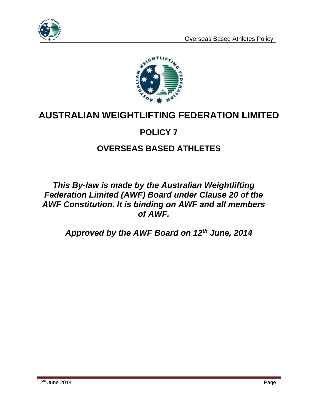



# **AUSTRALIAN WEIGHTLIFTING FEDERATION LIMITED**

# **POLICY 7**

# **OVERSEAS BASED ATHLETES**

### *This By-law is made by the Australian Weightlifting Federation Limited (AWF) Board under Clause 20 of the AWF Constitution. It is binding on AWF and all members of AWF.*

*Approved by the AWF Board on 12th June, 2014*